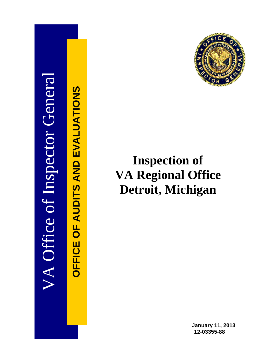

OFFICE OF AUDITS AND EVALUATIONS **OFFICE OF AUDITS AND EVALUATIONS**



# **Inspection of VA Regional Office Detroit, Michigan**

**January 11, 2013 12-03355-88**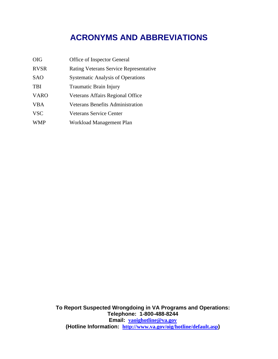## **ACRONYMS AND ABBREVIATIONS**

| <b>OIG</b>  | Office of Inspector General                   |
|-------------|-----------------------------------------------|
| <b>RVSR</b> | <b>Rating Veterans Service Representative</b> |
| <b>SAO</b>  | <b>Systematic Analysis of Operations</b>      |
| <b>TBI</b>  | <b>Traumatic Brain Injury</b>                 |
| <b>VARO</b> | Veterans Affairs Regional Office              |
| <b>VBA</b>  | <b>Veterans Benefits Administration</b>       |
| <b>VSC</b>  | Veterans Service Center                       |
| <b>WMP</b>  | Workload Management Plan                      |

**To Report Suspected Wrongdoing in VA Programs and Operations: Telephone: 1-800-488-8244 Email: [vaoighotline@va.gov](mailto:vaoighotline@va.gov) (Hotline Information: <http://www.va.gov/oig/hotline/default.asp>)**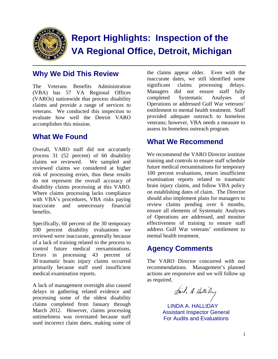

## **Report Highlights: Inspection of the VA Regional Office, Detroit, Michigan**

### **Why We Did This Review**

The Veterans Benefits Administration (VBA) has 57 VA Regional Offices (VAROs) nationwide that process disability claims and provide a range of services to veterans. We conducted this inspection to evaluate how well the Detroit VARO accomplishes this mission.

### **What We Found**

Overall, VARO staff did not accurately process 31 (52 percent) of 60 disability claims we reviewed. We sampled and reviewed claims we considered at higher risk of processing errors, thus these results do not represent the overall accuracy of disability claims processing at this VARO. Where claims processing lacks compliance with VBA's procedures, VBA risks paying inaccurate and unnecessary financial benefits.

control future medical reexaminations. Specifically, 60 percent of the 30 temporary 100 percent disability evaluations we reviewed were inaccurate, generally because of a lack of training related to the process to Errors in processing 43 percent of 30 traumatic brain injury claims occurred primarily because staff used insufficient medical examination reports.

A lack of management oversight also caused delays in gathering related evidence and processing some of the oldest disability claims completed from January through March 2012. However, claims processing untimeliness was overstated because staff used incorrect claim dates, making some of

the claims appear older. Even with the inaccurate dates, we still identified some significant claims processing delays. Managers did not ensure staff fully completed Systematic Analyses of Operations or addressed Gulf War veterans' entitlement to mental health treatment. Staff provided adequate outreach to homeless veterans; however, VBA needs a measure to assess its homeless outreach program.

### **What We Recommend**

We recommend the VARO Director institute training and controls to ensure staff schedule future medical reexaminations for temporary 100 percent evaluations, return insufficient examination reports related to traumatic brain injury claims, and follow VBA policy on establishing dates of claim. The Director should also implement plans for managers to review claims pending over 6 months, ensure all elements of Systematic Analyses of Operations are addressed, and monitor effectiveness of training to ensure staff address Gulf War veterans' entitlement to mental health treatment.

### **Agency Comments**

The VARO Director concurred with our recommendations. Management's planned actions are responsive and we will follow up as required.

Juil, A. Hallilay

LINDA A. HALLIDAY Assistant Inspector General For Audits and Evaluations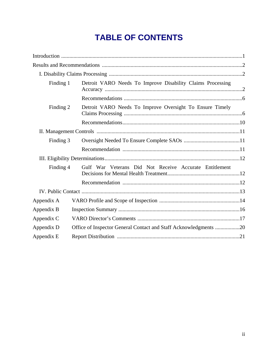## **TABLE OF CONTENTS**

| Finding 1  | Detroit VARO Needs To Improve Disability Claims Processing       |  |  |
|------------|------------------------------------------------------------------|--|--|
|            |                                                                  |  |  |
| Finding 2  | Detroit VARO Needs To Improve Oversight To Ensure Timely         |  |  |
|            |                                                                  |  |  |
|            |                                                                  |  |  |
| Finding 3  |                                                                  |  |  |
|            |                                                                  |  |  |
|            |                                                                  |  |  |
| Finding 4  | Gulf War Veterans Did Not Receive Accurate Entitlement           |  |  |
|            |                                                                  |  |  |
|            |                                                                  |  |  |
| Appendix A |                                                                  |  |  |
| Appendix B |                                                                  |  |  |
| Appendix C |                                                                  |  |  |
| Appendix D | Office of Inspector General Contact and Staff Acknowledgments 20 |  |  |
| Appendix E |                                                                  |  |  |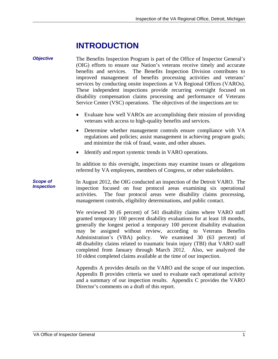## **INTRODUCTION**

*Objective* The Benefits Inspection Program is part of the Office of Inspector General's (OIG) efforts to ensure our Nation's veterans receive timely and accurate benefits and services. The Benefits Inspection Division contributes to improved management of benefits processing activities and veterans' services by conducting onsite inspections at VA Regional Offices (VAROs). These independent inspections provide recurring oversight focused on disability compensation claims processing and performance of Veterans Service Center (VSC) operations. The objectives of the inspections are to: Evaluate how well VAROs are accomplishing their mission of providing veterans with access to high-quality benefits and services.

- Determine whether management controls ensure compliance with VA regulations and policies; assist management in achieving program goals; and minimize the risk of fraud, waste, and other abuses.
- Identify and report systemic trends in VARO operations.

In addition to this oversight, inspections may examine issues or allegations referred by VA employees, members of Congress, or other stakeholders.

*Scope of Inspection* In August 2012, the OIG conducted an inspection of the Detroit VARO. The inspection focused on four protocol areas examining six operational activities. The four protocol areas were disability claims processing, management controls, eligibility determinations, and public contact.

> We reviewed 30 (6 percent) of 541 disability claims where VARO staff granted temporary 100 percent disability evaluations for at least 18 months, generally the longest period a temporary 100 percent disability evaluation may be assigned without review, according to Veterans Benefits Administration's (VBA) policy. We examined 30 (63 percent) of 48 disability claims related to traumatic brain injury (TBI) that VARO staff completed from January through March 2012. Also, we analyzed the 10 oldest completed claims available at the time of our inspection.

> Appendix A provides details on the VARO and the scope of our inspection. Appendix B provides criteria we used to evaluate each operational activity and a summary of our inspection results. Appendix C provides the VARO Director's comments on a draft of this report.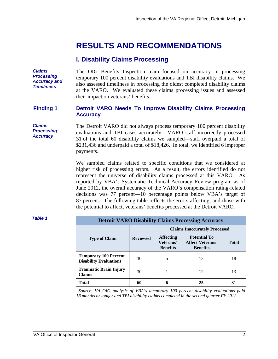## **RESULTS AND RECOMMENDATIONS**

#### **I. Disability Claims Processing**

*Claims Processing Accuracy and Timeliness* 

The OIG Benefits Inspection team focused on accuracy in processing temporary 100 percent disability evaluations and TBI disability claims. We also assessed timeliness in processing the oldest completed disability claims at the VARO. We evaluated these claims processing issues and assessed their impact on veterans' benefits.

#### **Finding 1 Detroit VARO Needs To Improve Disability Claims Processing Accuracy**

*Claims Processing Accuracy* 

The Detroit VARO did not always process temporary 100 percent disability evaluations and TBI cases accurately. VARO staff incorrectly processed 31 of the total 60 disability claims we sampled—staff overpaid a total of \$231,436 and underpaid a total of \$18,426. In total, we identified 6 improper payments.

We sampled claims related to specific conditions that we considered at higher risk of processing errors. As a result, the errors identified do not represent the universe of disability claims processed at this VARO. As reported by VBA's Systematic Technical Accuracy Review program as of June 2012, the overall accuracy of the VARO's compensation rating-related decisions was 77 percent—10 percentage points below VBA's target of 87 percent. The following table reflects the errors affecting, and those with the potential to affect, veterans' benefits processed at the Detroit VARO.

| <b>Detroit VARO Disability Claims Processing Accuracy</b>     |                 |                                                  |                                                                   |              |
|---------------------------------------------------------------|-----------------|--------------------------------------------------|-------------------------------------------------------------------|--------------|
|                                                               | <b>Reviewed</b> | <b>Claims Inaccurately Processed</b>             |                                                                   |              |
| <b>Type of Claim</b>                                          |                 | <b>Affecting</b><br>Veterans'<br><b>Benefits</b> | <b>Potential To</b><br><b>Affect Veterans'</b><br><b>Benefits</b> | <b>Total</b> |
| <b>Temporary 100 Percent</b><br><b>Disability Evaluations</b> | 30              | 5                                                | 13                                                                | 18           |
| <b>Traumatic Brain Injury</b><br><b>Claims</b>                | 30              |                                                  | 12                                                                | 13           |
| <b>Total</b>                                                  | 60              | 6                                                | 25                                                                | 31           |

*Source: VA OIG analysis of VBA's temporary 100 percent disability evaluations paid 18 months or longer and TBI disability claims completed in the second quarter FY 2012.*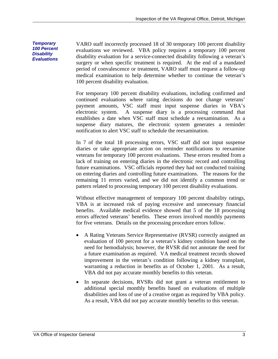VARO staff incorrectly processed 18 of 30 temporary 100 percent disability evaluations we reviewed. VBA policy requires a temporary 100 percent disability evaluation for a service-connected disability following a veteran's surgery or when specific treatment is required. At the end of a mandated period of convalescence or treatment, VARO staff must request a follow-up medical examination to help determine whether to continue the veteran's 100 percent disability evaluation.

For temporary 100 percent disability evaluations, including confirmed and continued evaluations where rating decisions do not change veterans' payment amounts, VSC staff must input suspense diaries in VBA's electronic system. A suspense diary is a processing command that establishes a date when VSC staff must schedule a reexamination. As a suspense diary matures, the electronic system generates a reminder notification to alert VSC staff to schedule the reexamination.

In 7 of the total 18 processing errors, VSC staff did not input suspense diaries or take appropriate action on reminder notifications to reexamine veterans for temporary 100 percent evaluations. These errors resulted from a lack of training on entering diaries in the electronic record and controlling future examinations. VSC officials reported they had not conducted training on entering diaries and controlling future examinations. The reasons for the remaining 11 errors varied, and we did not identify a common trend or pattern related to processing temporary 100 percent disability evaluations.

Without effective management of temporary 100 percent disability ratings, VBA is at increased risk of paying excessive and unnecessary financial benefits. Available medical evidence showed that 5 of the 18 processing errors affected veterans' benefits. These errors involved monthly payments for five veterans. Details on the processing procedure errors follow.

- A Rating Veterans Service Representative (RVSR) correctly assigned an evaluation of 100 percent for a veteran's kidney condition based on the need for hemodialysis; however, the RVSR did not annotate the need for a future examination as required. VA medical treatment records showed improvement in the veteran's condition following a kidney transplant, warranting a reduction in benefits as of October 1, 2001. As a result, VBA did not pay accurate monthly benefits to this veteran.
- In separate decisions, RVSRs did not grant a veteran entitlement to additional special monthly benefits based on evaluations of multiple disabilities and loss of use of a creative organ as required by VBA policy. As a result, VBA did not pay accurate monthly benefits to this veteran.

*Temporary 100 Percent Disability Evaluations*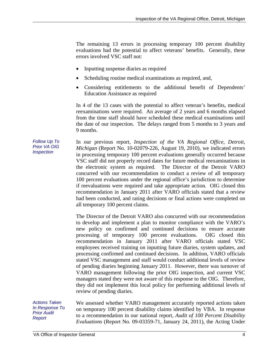The remaining 13 errors in processing temporary 100 percent disability evaluations had the potential to affect veterans' benefits. Generally, these errors involved VSC staff not:

- Inputting suspense diaries as required
- Scheduling routine medical examinations as required, and,
- Considering entitlements to the additional benefit of Dependents' Education Assistance as required

In 4 of the 13 cases with the potential to affect veteran's benefits, medical reexaminations were required. An average of 2 years and 6 months elapsed from the time staff should have scheduled these medical examinations until the date of our inspection. The delays ranged from 5 months to 3 years and 9 months.

*Follow Up To Prior VA OIG Inspection*  In our previous report, *Inspection of the VA Regional Office, Detroit, Michigan* (Report No. 10-02079-226, August 19, 2010), we indicated errors in processing temporary 100 percent evaluations generally occurred because VSC staff did not properly record dates for future medical reexaminations in the electronic system as required. The Director of the Detroit VARO concurred with our recommendation to conduct a review of all temporary 100 percent evaluations under the regional office's jurisdiction to determine if reevaluations were required and take appropriate action. OIG closed this recommendation in January 2011 after VARO officials stated that a review had been conducted, and rating decisions or final actions were completed on all temporary 100 percent claims.

> The Director of the Detroit VARO also concurred with our recommendation to develop and implement a plan to monitor compliance with the VARO's new policy on confirmed and continued decisions to ensure accurate processing of temporary 100 percent evaluations. OIG closed this recommendation in January 2011 after VARO officials stated VSC employees received training on inputting future diaries, system updates, and processing confirmed and continued decisions. In addition, VARO officials stated VSC management and staff would conduct additional levels of review of pending diaries beginning January 2011. However, there was turnover of VARO management following the prior OIG inspection, and current VSC managers stated they were not aware of this response to the OIG. Therefore, they did not implement this local policy for performing additional levels of review of pending diaries.

*Actions Taken In Response To Prior Audit Report* 

We assessed whether VARO management accurately reported actions taken on temporary 100 percent disability claims identified by VBA. In response to a recommendation in our national report, *Audit of 100 Percent Disability Evaluations* (Report No. 09-03359-71, January 24, 2011), the Acting Under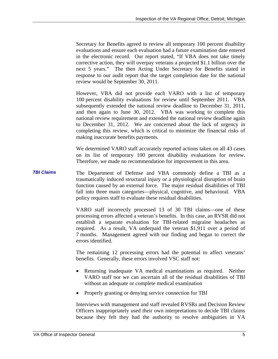Secretary for Benefits agreed to review all temporary 100 percent disability evaluations and ensure each evaluation had a future examination date entered in the electronic record. Our report stated, "If VBA does not take timely corrective action, they will overpay veterans a projected \$1.1 billion over the next 5 years." The then Acting Under Secretary for Benefits stated in response to our audit report that the target completion date for the national review would be September 30, 2011.

However, VBA did not provide each VARO with a list of temporary 100 percent disability evaluations for review until September 2011. VBA subsequently extended the national review deadline to December 31, 2011, and then again to June 30, 2012. VBA was working to complete this national review requirement and extended the national review deadline again to December 31, 2012. We are concerned about the lack of urgency in completing this review, which is critical to minimize the financial risks of making inaccurate benefits payments.

We determined VARO staff accurately reported actions taken on all 43 cases on its list of temporary 100 percent disability evaluations for review. Therefore, we made no recommendation for improvement in this area.

*TBI Claims*  The Department of Defense and VBA commonly define a TBI as a traumatically induced structural injury or a physiological disruption of brain function caused by an external force. The major residual disabilities of TBI fall into three main categories—physical, cognitive, and behavioral. VBA policy requires staff to evaluate these residual disabilities.

> VARO staff incorrectly processed 13 of 30 TBI claims—one of these processing errors affected a veteran's benefits. In this case, an RVSR did not establish a separate evaluation for TBI-related migraine headaches as required. As a result, VA underpaid the veteran \$1,911 over a period of 7 months. Management agreed with our finding and began to correct the errors identified.

> The remaining 12 processing errors had the potential to affect veterans' benefits. Generally, these errors involved VSC staff not:

- Returning inadequate VA medical examinations as required. Neither VARO staff nor we can ascertain all of the residual disabilities of TBI without an adequate or complete medical examination
- Properly granting or denying service connection for TBI

Interviews with management and staff revealed RVSRs and Decision Review Officers inappropriately used their own interpretations to decide TBI claims because they felt they had the authority to resolve ambiguities in VA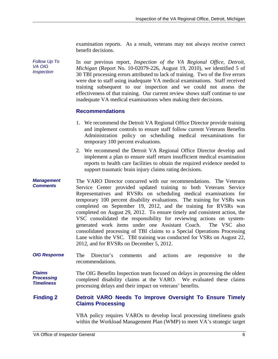examination reports. As a result, veterans may not always receive correct benefit decisions.

*Follow Up To VA OIG Inspection*  In our previous report, *Inspection of the VA Regional Office, Detroit, Michigan* (Report No. 10-02079-226, August 19, 2010), we identified 5 of 30 TBI processing errors attributed to lack of training. Two of the five errors were due to staff using inadequate VA medical examinations. Staff received training subsequent to our inspection and we could not assess the effectiveness of that training. Our current review shows staff continue to use inadequate VA medical examinations when making their decisions.

#### **Recommendations**

- 1. We recommend the Detroit VA Regional Office Director provide training and implement controls to ensure staff follow current Veterans Benefits Administration policy on scheduling medical reexaminations for temporary 100 percent evaluations.
- 2. We recommend the Detroit VA Regional Office Director develop and implement a plan to ensure staff return insufficient medical examination reports to health care facilities to obtain the required evidence needed to support traumatic brain injury claims rating decisions.
- *Management Comments*  The VARO Director concurred with our recommendations. The Veterans Service Center provided updated training to both Veterans Service Representatives and RVSRs on scheduling medical examinations for temporary 100 percent disability evaluations. The training for VSRs was completed on September 19, 2012, and the training for RVSRs was completed on August 29, 2012. To ensure timely and consistent action, the VSC consolidated the responsibility for reviewing actions on systemgenerated work items under one Assistant Coach. The VSC also consolidated processing of TBI claims to a Special Operations Processing Lane within the VSC. TBI training was conducted for VSRs on August 22, 2012, and for RVSRs on December 5, 2012.
- *OIG Response*  The Director's comments and actions are responsive to the recommendations.

*Claims Processing Timeliness*  The OIG Benefits Inspection team focused on delays in processing the oldest completed disability claims at the VARO. We evaluated these claims processing delays and their impact on veterans' benefits.

#### **Finding 2 Detroit VARO Needs To Improve Oversight To Ensure Timely Claims Processing**

VBA policy requires VAROs to develop local processing timeliness goals within the Workload Management Plan (WMP) to meet VA's strategic target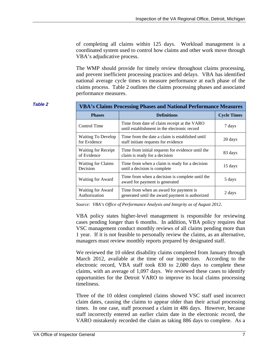of completing all claims within 125 days. Workload management is a coordinated system used to control how claims and other work move through VBA's adjudicative process.

The WMP should provide for timely review throughout claims processing, and prevent inefficient processing practices and delays. VBA has identified national average cycle times to measure performance at each phase of the claims process. Table 2 outlines the claims processing phases and associated performance measures.

| <b>Table 2</b> | <b>VBA's Claims Processing Phases and National Performance Measures</b> |                                                                                             |                    |  |
|----------------|-------------------------------------------------------------------------|---------------------------------------------------------------------------------------------|--------------------|--|
|                | <b>Phases</b>                                                           | <b>Definitions</b>                                                                          | <b>Cycle Times</b> |  |
|                | Control Time                                                            | Time from date of claim receipt at the VARO<br>until establishment in the electronic record | 7 days             |  |
|                | <b>Waiting To Develop</b><br>for Evidence                               | Time from the date a claim is established until<br>staff initiate requests for evidence     | 20 days            |  |
|                | <b>Waiting for Receipt</b><br>of Evidence                               | Time from initial requests for evidence until the.<br>claim is ready for a decision         | 83 days            |  |
|                | <b>Waiting for Claims</b><br>Decision                                   | Time from when a claim is ready for a decision<br>until a decision is complete              | 15 days            |  |
|                | Waiting for Award                                                       | Time from when a decision is complete until the<br>award for payment is generated           | 5 days             |  |
|                | Waiting for Award<br>Authorization                                      | Time from when an award for payment is<br>generated until the award payment is authorized   | 2 days             |  |

*Source: VBA's Office of Performance Analysis and Integrity as of August 2012*.

VBA policy states higher-level management is responsible for reviewing cases pending longer than 6 months. In addition, VBA policy requires that VSC management conduct monthly reviews of all claims pending more than 1 year. If it is not feasible to personally review the claims, as an alternative, managers must review monthly reports prepared by designated staff.

We reviewed the 10 oldest disability claims completed from January through March 2012, available at the time of our inspection. According to the electronic record, VBA staff took 830 to 2,080 days to complete these claims, with an average of 1,097 days. We reviewed these cases to identify opportunities for the Detroit VARO to improve its local claims processing timeliness.

Three of the 10 oldest completed claims showed VSC staff used incorrect claim dates, causing the claims to appear older than their actual processing times. In one case, staff processed a claim in 486 days. However, because staff incorrectly entered an earlier claim date in the electronic record, the VARO mistakenly recorded the claim as taking 886 days to complete. As a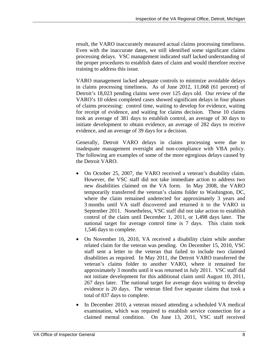result, the VARO inaccurately measured actual claims processing timeliness. Even with the inaccurate dates, we still identified some significant claims processing delays. VSC management indicated staff lacked understanding of the proper procedures to establish dates of claim and would therefore receive training to address this issue.

VARO management lacked adequate controls to minimize avoidable delays in claims processing timeliness. As of June 2012, 11,068 (61 percent) of Detroit's 18,023 pending claims were over 125 days old. Our review of the VARO's 10 oldest completed cases showed significant delays in four phases of claims processing: control time, waiting to develop for evidence, waiting for receipt of evidence, and waiting for claims decision. These 10 claims took an average of 381 days to establish control, an average of 30 days to initiate development to obtain evidence, an average of 282 days to receive evidence, and an average of 39 days for a decision.

Generally, Detroit VARO delays in claims processing were due to inadequate management oversight and non-compliance with VBA policy. The following are examples of some of the more egregious delays caused by the Detroit VARO.

- national target for average control time is 7 days. This claim took • On October 25, 2007, the VARO received a veteran's disability claim. However, the VSC staff did not take immediate action to address two new disabilities claimed on the VA form. In May 2008, the VARO temporarily transferred the veteran's claims folder to Washington, DC, where the claim remained undetected for approximately 3 years and 3 months until VA staff discovered and returned it to the VARO in September 2011. Nonetheless, VSC staff did not take action to establish control of the claim until December 1, 2011, or 1,498 days later. The 1,546 days to complete.
- On November 16, 2010, VA received a disability claim while another related claim for the veteran was pending. On December 15, 2010, VSC staff sent a letter to the veteran that failed to include two claimed disabilities as required. In May 2011, the Detroit VARO transferred the veteran's claims folder to another VARO, where it remained for approximately 3 months until it was returned in July 2011. VSC staff did not initiate development for this additional claim until August 10, 2011, 267 days later. The national target for average days waiting to develop evidence is 20 days. The veteran filed five separate claims that took a total of 837 days to complete.
- In December 2010, a veteran missed attending a scheduled VA medical examination, which was required to establish service connection for a claimed mental condition. On June 13, 2011, VSC staff received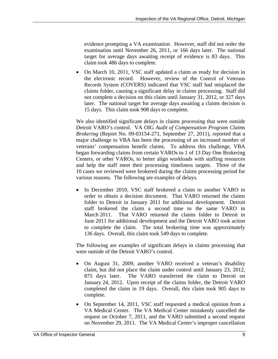evidence prompting a VA examination. However, staff did not order the examination until November 26, 2011, or 166 days later. The national target for average days awaiting receipt of evidence is 83 days. This claim took 486 days to complete.

 On March 10, 2011, VSC staff updated a claim as ready for decision in the electronic record. However, review of the Control of Veterans Records System (COVERS) indicated that VSC staff had misplaced the claims folder, causing a significant delay in claims processing. Staff did not complete a decision on this claim until January 31, 2012, or 327 days later. The national target for average days awaiting a claims decision is 15 days. This claim took 908 days to complete.

We also identified significant delays in claims processing that were outside Detroit VARO's control. VA OIG *Audit of Compensation Program Claims Brokering* (Report No. 09-03154-271, September 27, 2011), reported that a major challenge to VBA has been the processing of an increased number of veterans' compensation benefit claims. To address this challenge, VBA began forwarding claims from certain VAROs to 1 of 13 Day One Brokering Centers, or other VAROs, to better align workloads with staffing resources and help the staff meet their processing timeliness targets. Three of the 10 cases we reviewed were brokered during the claims processing period for various reasons. The following are examples of delays.

• In December 2010, VSC staff brokered a claim to another VARO in order to obtain a decision document. That VARO returned the claims folder to Detroit in January 2011 for additional development. Detroit staff brokered the claim a second time to the same VARO in March 2011. That VARO returned the claims folder to Detroit in June 2011 for additional development and the Detroit VARO took action to complete the claim. The total brokering time was approximately 136 days. Overall, this claim took 549 days to complete.

The following are examples of significant delays in claims processing that were outside of the Detroit VARO's control.

- On August 31, 2009, another VARO received a veteran's disability claim, but did not place the claim under control until January 23, 2012, 875 days later. The VARO transferred the claim to Detroit on January 24, 2012. Upon receipt of the claims folder, the Detroit VARO completed the claim in 19 days. Overall, this claim took 905 days to complete.
- On September 14, 2011, VSC staff requested a medical opinion from a VA Medical Center. The VA Medical Center mistakenly cancelled the request on October 7, 2011, and the VARO submitted a second request on November 29, 2011. The VA Medical Center's improper cancellation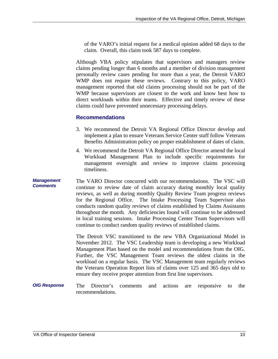of the VARO's initial request for a medical opinion added 68 days to the claim. Overall, this claim took 587 days to complete.

Although VBA policy stipulates that supervisors and managers review claims pending longer than 6 months and a member of division management personally review cases pending for more than a year, the Detroit VARO WMP does not require these reviews. Contrary to this policy, VARO management reported that old claims processing should not be part of the WMP because supervisors are closest to the work and know best how to direct workloads within their teams. Effective and timely review of these claims could have prevented unnecessary processing delays.

#### **Recommendations**

- 3. We recommend the Detroit VA Regional Office Director develop and implement a plan to ensure Veterans Service Center staff follow Veterans Benefits Administration policy on proper establishment of dates of claim.
- 4. We recommend the Detroit VA Regional Office Director amend the local Workload Management Plan to include specific requirements for management oversight and review to improve claims processing timeliness.
- *Management Comments*  The VARO Director concurred with our recommendations. The VSC will continue to review date of claim accuracy during monthly local quality reviews, as well as during monthly Quality Review Team progress reviews for the Regional Office. The Intake Processing Team Supervisor also conducts random quality reviews of claims established by Claims Assistants throughout the month. Any deficiencies found will continue to be addressed in local training sessions. Intake Processing Center Team Supervisors will continue to conduct random quality reviews of established claims.

The Detroit VSC transitioned to the new VBA Organizational Model in November 2012. The VSC Leadership team is developing a new Workload Management Plan based on the model and recommendations from the OIG. Further, the VSC Management Team reviews the oldest claims in the workload on a regular basis. The VSC Management team regularly reviews the Veterans Operation Report lists of claims over 125 and 365 days old to ensure they receive proper attention from first line supervisors.

*OIG Response*  The Director's comments and actions are responsive to the recommendations.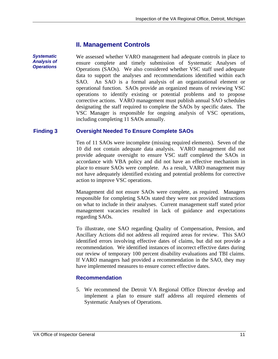#### **II. Management Controls**

*Systematic Analysis of Operations*  We assessed whether VARO management had adequate controls in place to ensure complete and timely submission of Systematic Analyses of Operations (SAOs). We also considered whether VSC staff used adequate

data to support the analyses and recommendations identified within each SAO. An SAO is a formal analysis of an organizational element or operational function. SAOs provide an organized means of reviewing VSC operations to identify existing or potential problems and to propose corrective actions. VARO management must publish annual SAO schedules designating the staff required to complete the SAOs by specific dates. The VSC Manager is responsible for ongoing analysis of VSC operations, including completing 11 SAOs annually.

#### **Finding 3 Oversight Needed To Ensure Complete SAOs**

Ten of 11 SAOs were incomplete (missing required elements). Seven of the 10 did not contain adequate data analysis. VARO management did not provide adequate oversight to ensure VSC staff completed the SAOs in accordance with VBA policy and did not have an effective mechanism in place to ensure SAOs were complete. As a result, VARO management may not have adequately identified existing and potential problems for corrective action to improve VSC operations.

 on what to include in their analyses. Current management staff stated prior Management did not ensure SAOs were complete, as required. Managers responsible for completing SAOs stated they were not provided instructions management vacancies resulted in lack of guidance and expectations regarding SAOs.

To illustrate, one SAO regarding Quality of Compensation, Pension, and Ancillary Actions did not address all required areas for review. This SAO identified errors involving effective dates of claims, but did not provide a recommendation. We identified instances of incorrect effective dates during our review of temporary 100 percent disability evaluations and TBI claims. If VARO managers had provided a recommendation in the SAO, they may have implemented measures to ensure correct effective dates.

#### **Recommendation**

5. We recommend the Detroit VA Regional Office Director develop and implement a plan to ensure staff address all required elements of Systematic Analyses of Operations.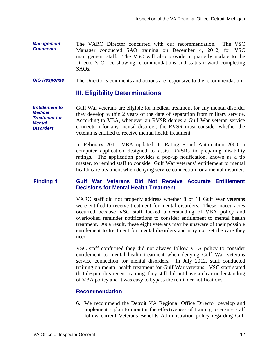- *Management Comments*  The VARO Director concurred with our recommendation. The VSC Manager conducted SAO training on December 4, 2012, for VSC management staff. The VSC will also provide a quarterly update to the Director's Office showing recommendations and status toward completing  $SAOs$ .
- *OIG Response*  The Director's comments and actions are responsive to the recommendation.

#### **III. Eligibility Determinations**

they develop within 2 years of the date of separation from military service. *Entitlement to Medical Treatment for Mental Disorders*  Gulf War veterans are eligible for medical treatment for any mental disorder According to VBA, whenever an RVSR denies a Gulf War veteran service. connection for any mental disorder, the RVSR must consider whether the veteran is entitled to receive mental health treatment.

> In February 2011, VBA updated its Rating Board Automation 2000, a computer application designed to assist RVSRs in preparing disability ratings. The application provides a pop-up notification, known as a tip master, to remind staff to consider Gulf War veterans' entitlement to mental health care treatment when denying service connection for a mental disorder.

#### **Finding 4 Gulf War Veterans Did Not Receive Accurate Entitlement Decisions for Mental Health Treatment**

VARO staff did not properly address whether 8 of 11 Gulf War veterans were entitled to receive treatment for mental disorders. These inaccuracies occurred because VSC staff lacked understanding of VBA policy and overlooked reminder notifications to consider entitlement to mental health treatment. As a result, these eight veterans may be unaware of their possible entitlement to treatment for mental disorders and may not get the care they need.

VSC staff confirmed they did not always follow VBA policy to consider entitlement to mental health treatment when denying Gulf War veterans service connection for mental disorders. In July 2012, staff conducted training on mental health treatment for Gulf War veterans. VSC staff stated that despite this recent training, they still did not have a clear understanding of VBA policy and it was easy to bypass the reminder notifications.

#### **Recommendation**

6. We recommend the Detroit VA Regional Office Director develop and implement a plan to monitor the effectiveness of training to ensure staff follow current Veterans Benefits Administration policy regarding Gulf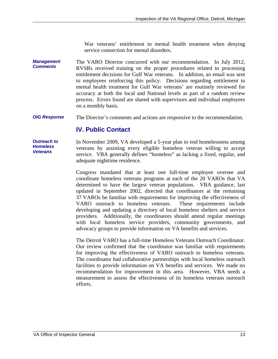War veterans' entitlement to mental health treatment when denying service connection for mental disorders.

*Management Comments*  The VARO Director concurred with our recommendation. In July 2012, RVSRs received training on the proper procedures related to processing entitlement decisions for Gulf War veterans. In addition, an email was sent to employees reinforcing this policy. Decisions regarding entitlement to mental health treatment for Gulf War veterans' are routinely reviewed for accuracy at both the local and National levels as part of a random review process. Errors found are shared with supervisors and individual employees on a monthly basis.

*OIG Response*  The Director's comments and actions are responsive to the recommendation.

#### **IV. Public Contact**

*Outreach to Homeless Veterans* 

In November 2009, VA developed a 5-year plan to end homelessness among veterans by assisting every eligible homeless veteran willing to accept service. VBA generally defines "homeless" as lacking a fixed, regular, and adequate nighttime residence.

Congress mandated that at least one full-time employee oversee and coordinate homeless veterans programs at each of the 20 VAROs that VA determined to have the largest veteran populations. VBA guidance, last updated in September 2002, directed that coordinators at the remaining 37 VAROs be familiar with requirements for improving the effectiveness of VARO outreach to homeless veterans. These requirements include developing and updating a directory of local homeless shelters and service providers. Additionally, the coordinators should attend regular meetings with local homeless service providers, community governments, and advocacy groups to provide information on VA benefits and services.

The Detroit VARO has a full-time Homeless Veterans Outreach Coordinator. Our review confirmed that the coordinator was familiar with requirements for improving the effectiveness of VARO outreach to homeless veterans. The coordinator had collaborative partnerships with local homeless outreach facilities to provide information on VA benefits and services. We made no recommendation for improvement in this area. However, VBA needs a measurement to assess the effectiveness of its homeless veterans outreach efforts.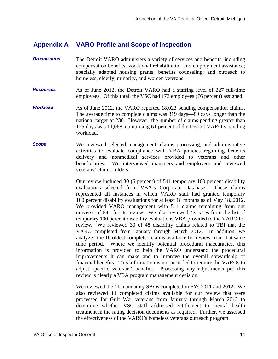#### **Appendix A VARO Profile and Scope of Inspection**

- **Organization** The Detroit VARO administers a variety of services and benefits, including compensation benefits; vocational rehabilitation and employment assistance; specially adapted housing grants; benefits counseling; and outreach to homeless, elderly, minority, and women veterans.
- *Resources* As of June 2012, the Detroit VARO had a staffing level of 227 full-time employees. Of this total, the VSC had 173 employees (76 percent) assigned.
- **Workload** As of June 2012, the VARO reported 18,023 pending compensation claims. The average time to complete claims was 319 days—89 days longer than the national target of 230. However, the number of claims pending greater than 125 days was 11,068, comprising 61 percent of the Detroit VARO's pending workload.
- **Scope** We reviewed selected management, claims processing, and administrative activities to evaluate compliance with VBA policies regarding benefits delivery and nonmedical services provided to veterans and other beneficiaries. We interviewed managers and employees and reviewed veterans' claims folders.

Our review included 30 (6 percent) of 541 temporary 100 percent disability evaluations selected from VBA's Corporate Database. These claims represented all instances in which VARO staff had granted temporary 100 percent disability evaluations for at least 18 months as of May 18, 2012. We provided VARO management with 511 claims remaining from our universe of 541 for its review. We also reviewed 43 cases from the list of temporary 100 percent disability evaluations VBA provided to the VARO for review. We reviewed 30 of 48 disability claims related to TBI that the VARO completed from January through March 2012. In addition, we analyzed the 10 oldest completed claims available for review from that same time period. Where we identify potential procedural inaccuracies, this information is provided to help the VARO understand the procedural improvements it can make and to improve the overall stewardship of financial benefits. This information is not provided to require the VAROs to adjust specific veterans' benefits. Processing any adjustments per this review is clearly a VBA program management decision.

We reviewed the 11 mandatory SAOs completed in FYs 2011 and 2012. We also reviewed 11 completed claims available for our review that were processed for Gulf War veterans from January through March 2012 to determine whether VSC staff addressed entitlement to mental health treatment in the rating decision documents as required. Further, we assessed the effectiveness of the VARO's homeless veterans outreach program.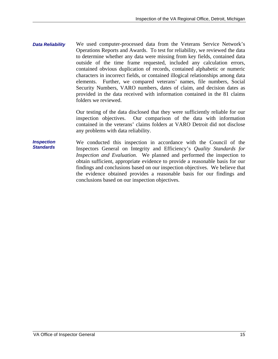*Data Reliability*  We used computer-processed data from the Veterans Service Network's Operations Reports and Awards. To test for reliability, we reviewed the data to determine whether any data were missing from key fields, contained data outside of the time frame requested, included any calculation errors, contained obvious duplication of records, contained alphabetic or numeric characters in incorrect fields, or contained illogical relationships among data elements. Further, we compared veterans' names, file numbers, Social Security Numbers, VARO numbers, dates of claim, and decision dates as provided in the data received with information contained in the 81 claims folders we reviewed.

> Our testing of the data disclosed that they were sufficiently reliable for our inspection objectives. Our comparison of the data with information contained in the veterans' claims folders at VARO Detroit did not disclose any problems with data reliability.

*Inspection Standards*  We conducted this inspection in accordance with the Council of the Inspectors General on Integrity and Efficiency's *Quality Standards for Inspection and Evaluation.* We planned and performed the inspection to obtain sufficient, appropriate evidence to provide a reasonable basis for our findings and conclusions based on our inspection objectives. We believe that the evidence obtained provides a reasonable basis for our findings and conclusions based on our inspection objectives.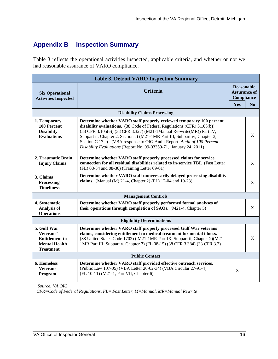### **Appendix B Inspection Summary**

Table 3 reflects the operational activities inspected, applicable criteria, and whether or not we had reasonable assurance of VARO compliance.

| <b>Table 3. Detroit VARO Inspection Summary</b>                                               |                                                                                                                                                                                                                                                                                                                                                                                                                                                         |     |                                                               |  |
|-----------------------------------------------------------------------------------------------|---------------------------------------------------------------------------------------------------------------------------------------------------------------------------------------------------------------------------------------------------------------------------------------------------------------------------------------------------------------------------------------------------------------------------------------------------------|-----|---------------------------------------------------------------|--|
| <b>Six Operational</b><br><b>Activities Inspected</b>                                         | <b>Criteria</b>                                                                                                                                                                                                                                                                                                                                                                                                                                         |     | <b>Reasonable</b><br><b>Assurance of</b><br><b>Compliance</b> |  |
|                                                                                               |                                                                                                                                                                                                                                                                                                                                                                                                                                                         | Yes | No                                                            |  |
|                                                                                               | <b>Disability Claims Processing</b>                                                                                                                                                                                                                                                                                                                                                                                                                     |     |                                                               |  |
| 1. Temporary<br>100 Percent<br><b>Disability</b><br><b>Evaluations</b>                        | Determine whether VARO staff properly reviewed temporary 100 percent<br>disability evaluations. (38 Code of Federal Regulations (CFR) 3.103(b))<br>(38 CFR 3.105(e)) (38 CFR 3.327) (M21-1Manual Re-write(MR)) Part IV,<br>Subpart ii, Chapter 2, Section J) (M21-1MR Part III, Subpart iv, Chapter 3,<br>Section C.17.e). (VBA response to OIG Audit Report, Audit of 100 Percent<br>Disability Evaluations (Report No. 09-03359-71, January 24, 2011) |     | X                                                             |  |
| 2. Traumatic Brain<br><b>Injury Claims</b>                                                    | Determine whether VARO staff properly processed claims for service<br>connection for all residual disabilities related to in-service TBI. (Fast Letter<br>(FL) 08-34 and 08-36) (Training Letter 09-01)                                                                                                                                                                                                                                                 |     | X                                                             |  |
| 3. Claims<br>Processing<br><b>Timeliness</b>                                                  | Determine whether VARO staff unnecessarily delayed processing disability<br>claims. (Manual (M) 21-4, Chapter 2) (FL) 12-04 and 10-23)                                                                                                                                                                                                                                                                                                                  |     | X                                                             |  |
|                                                                                               | <b>Management Controls</b>                                                                                                                                                                                                                                                                                                                                                                                                                              |     |                                                               |  |
| 4. Systematic<br><b>Analysis of</b><br><b>Operations</b>                                      | Determine whether VARO staff properly performed formal analyses of<br>their operations through completion of SAOs. (M21-4, Chapter 5)                                                                                                                                                                                                                                                                                                                   |     | X                                                             |  |
| <b>Eligibility Determinations</b>                                                             |                                                                                                                                                                                                                                                                                                                                                                                                                                                         |     |                                                               |  |
| 5. Gulf War<br>Veterans'<br><b>Entitlement to</b><br><b>Mental Health</b><br><b>Treatment</b> | Determine whether VARO staff properly processed Gulf War veterans'<br>claims, considering entitlement to medical treatment for mental illness.<br>(38 United States Code 1702) (M21-1MR Part IX, Subpart ii, Chapter 2)(M21-<br>1MR Part III, Subpart v, Chapter 7) (FL 08-15) (38 CFR 3.384) (38 CFR 3.2)                                                                                                                                              |     | X                                                             |  |
| <b>Public Contact</b>                                                                         |                                                                                                                                                                                                                                                                                                                                                                                                                                                         |     |                                                               |  |
| 6. Homeless<br><b>Veterans</b><br>Program                                                     | Determine whether VARO staff provided effective outreach services.<br>(Public Law 107-05) (VBA Letter 20-02-34) (VBA Circular 27-91-4)<br>(FL 10-11) (M21-1, Part VII, Chapter 6)                                                                                                                                                                                                                                                                       | X   |                                                               |  |

 *Source: VA OIG*

 *CFR=Code of Federal Regulations, FL= Fast Letter, M=Manual, MR=Manual Rewrite*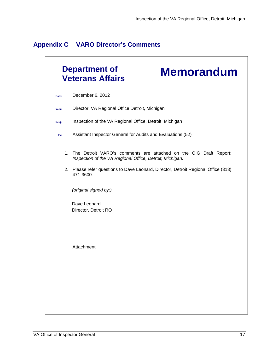| <b>Appendix C</b> | <b>VARO Director's Comments</b> |  |
|-------------------|---------------------------------|--|
|-------------------|---------------------------------|--|

|       | <b>Department of</b><br><b>Memorandum</b><br><b>Veterans Affairs</b>                                                          |
|-------|-------------------------------------------------------------------------------------------------------------------------------|
| Date: | December 6, 2012                                                                                                              |
| From: | Director, VA Regional Office Detroit, Michigan                                                                                |
| Subj: | Inspection of the VA Regional Office, Detroit, Michigan                                                                       |
| To:   | Assistant Inspector General for Audits and Evaluations (52)                                                                   |
| 1.    | The Detroit VARO's comments are attached on the OIG Draft Report:<br>Inspection of the VA Regional Office, Detroit, Michigan. |
|       | 2. Please refer questions to Dave Leonard, Director, Detroit Regional Office (313)<br>471-3600.                               |
|       | (original signed by:)                                                                                                         |
|       | Dave Leonard<br>Director, Detroit RO                                                                                          |
|       |                                                                                                                               |
|       | Attachment                                                                                                                    |
|       |                                                                                                                               |
|       |                                                                                                                               |
|       |                                                                                                                               |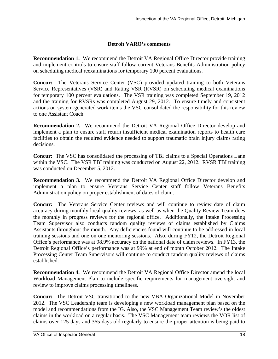#### **Detroit VARO's comments**

**Recommendation 1.** We recommend the Detroit VA Regional Office Director provide training and implement controls to ensure staff follow current Veterans Benefits Administration policy on scheduling medical reexaminations for temporary 100 percent evaluations.

**Concur:** The Veterans Service Center (VSC) provided updated training to both Veterans Service Representatives (VSR) and Rating VSR (RVSR) on scheduling medical examinations for temporary 100 percent evaluations. The VSR training was completed September 19, 2012 and the training for RVSRs was completed August 29, 2012. To ensure timely and consistent actions on system-generated work items the VSC consolidated the responsibility for this review to one Assistant Coach.

**Recommendation 2.** We recommend the Detroit VA Regional Office Director develop and implement a plan to ensure staff return insufficient medical examination reports to health care facilities to obtain the required evidence needed to support traumatic brain injury claims rating decisions.

**Concur:** The VSC has consolidated the processing of TBI claims to a Special Operations Lane within the VSC. The VSR TBI training was conducted on August 22, 2012. RVSR TBI training was conducted on December 5, 2012.

**Recommendation 3.** We recommend the Detroit VA Regional Office Director develop and implement a plan to ensure Veterans Service Center staff follow Veterans Benefits Administration policy on proper establishment of dates of claim.

**Concur:** The Veterans Service Center reviews and will continue to review date of claim accuracy during monthly local quality reviews, as well as when the Quality Review Team does the monthly in progress reviews for the regional office. Additionally, the Intake Processing Team Supervisor also conducts random quality reviews of claims established by Claims Assistants throughout the month. Any deficiencies found will continue to be addressed in local training sessions and one on one mentoring sessions. Also, during FY12, the Detroit Regional Office's performance was at 98.9% accuracy on the national date of claim reviews. In FY13, the Detroit Regional Office's performance was at 99% at end of month October 2012. The Intake Processing Center Team Supervisors will continue to conduct random quality reviews of claims established.

**Recommendation 4.** We recommend the Detroit VA Regional Office Director amend the local Workload Management Plan to include specific requirements for management oversight and review to improve claims processing timeliness.

**Concur:** The Detroit VSC transitioned to the new VBA Organizational Model in November 2012. The VSC Leadership team is developing a new workload management plan based on the model and recommendations from the IG. Also, the VSC Management Team review's the oldest claims in the workload on a regular basis. The VSC Management team reviews the VOR list of claims over 125 days and 365 days old regularly to ensure the proper attention is being paid to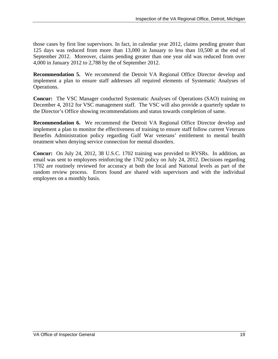those cases by first line supervisors. In fact, in calendar year 2012, claims pending greater than 125 days was reduced from more than 13,000 in January to less than 10,500 at the end of September 2012. Moreover, claims pending greater than one year old was reduced from over 4,000 in January 2012 to 2,788 by the of September 2012.

**Recommendation 5.** We recommend the Detroit VA Regional Office Director develop and implement a plan to ensure staff addresses all required elements of Systematic Analyses of Operations.

**Concur:** The VSC Manager conducted Systematic Analyses of Operations (SAO) training on December 4, 2012 for VSC management staff. The VSC will also provide a quarterly update to the Director's Office showing recommendations and status towards completion of same.

**Recommendation 6.** We recommend the Detroit VA Regional Office Director develop and implement a plan to monitor the effectiveness of training to ensure staff follow current Veterans Benefits Administration policy regarding Gulf War veterans' entitlement to mental health treatment when denying service connection for mental disorders.

**Concur:** On July 24, 2012, 38 U.S.C. 1702 training was provided to RVSRs. In addition, an email was sent to employees reinforcing the 1702 policy on July 24, 2012. Decisions regarding 1702 are routinely reviewed for accuracy at both the local and National levels as part of the random review process. Errors found are shared with supervisors and with the individual employees on a monthly basis.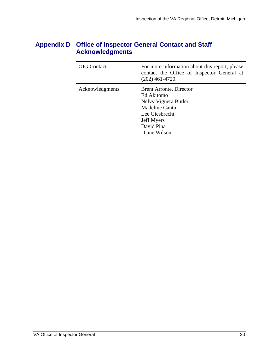### **Appendix D Office of Inspector General Contact and Staff Acknowledgments**

| <b>OIG</b> Contact | For more information about this report, please<br>contact the Office of Inspector General at<br>$(202)$ 461-4720.                                    |
|--------------------|------------------------------------------------------------------------------------------------------------------------------------------------------|
| Acknowledgments    | Brent Arronte, Director<br>Ed Akitomo<br>Nelvy Viguera Butler<br>Madeline Cantu<br>Lee Giesbrecht<br><b>Jeff Myers</b><br>David Pina<br>Diane Wilson |